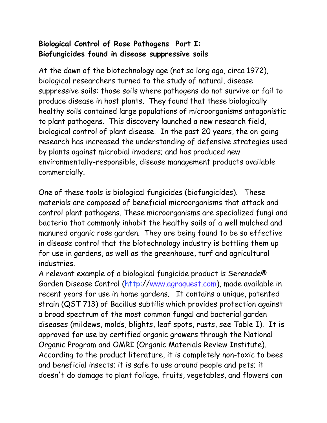## **Biological Control of Rose Pathogens Part I: Biofungicides found in disease suppressive soils**

At the dawn of the biotechnology age (not so long ago, circa 1972), biological researchers turned to the study of natural, disease suppressive soils: those soils where pathogens do not survive or fail to produce disease in host plants. They found that these biologically healthy soils contained large populations of microorganisms antagonistic to plant pathogens. This discovery launched a new research field, biological control of plant disease. In the past 20 years, the on-going research has increased the understanding of defensive strategies used by plants against microbial invaders; and has produced new environmentally-responsible, disease management products available commercially.

One of these tools is biological fungicides (biofungicides). These materials are composed of beneficial microorganisms that attack and control plant pathogens. These microorganisms are specialized fungi and bacteria that commonly inhabit the healthy soils of a well mulched and manured organic rose garden. They are being found to be so effective in disease control that the biotechnology industry is bottling them up for use in gardens, as well as the greenhouse, turf and agricultural industries.

A relevant example of a biological fungicide product is Serenade® Garden Disease Control (http://www.agraquest.com), made available in recent years for use in home gardens. It contains a unique, patented strain (QST 713) of Bacillus subtilis which provides protection against a broad spectrum of the most common fungal and bacterial garden diseases (mildews, molds, blights, leaf spots, rusts, see Table I). It is approved for use by certified organic growers through the National Organic Program and OMRI (Organic Materials Review Institute). According to the product literature, it is completely non-toxic to bees and beneficial insects; it is safe to use around people and pets; it doesn't do damage to plant foliage; fruits, vegetables, and flowers can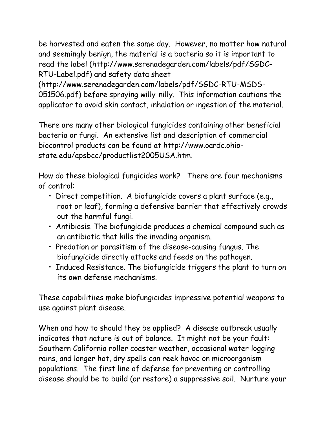be harvested and eaten the same day. However, no matter how natural and seemingly benign, the material is a bacteria so it is important to read the label (http://www.serenadegarden.com/labels/pdf/SGDC-RTU-Label.pdf) and safety data sheet

(http://www.serenadegarden.com/labels/pdf/SGDC-RTU-MSDS-051506.pdf) before spraying willy-nilly. This information cautions the applicator to avoid skin contact, inhalation or ingestion of the material.

There are many other biological fungicides containing other beneficial bacteria or fungi. An extensive list and description of commercial biocontrol products can be found at http://www.oardc.ohiostate.edu/apsbcc/productlist2005USA.htm.

How do these biological fungicides work? There are four mechanisms of control:

- Direct competition. A biofungicide covers a plant surface (e.g., root or leaf), forming a defensive barrier that effectively crowds out the harmful fungi.
- Antibiosis. The biofungicide produces a chemical compound such as an antibiotic that kills the invading organism.
- Predation or parasitism of the disease-causing fungus. The biofungicide directly attacks and feeds on the pathogen.
- Induced Resistance. The biofungicide triggers the plant to turn on its own defense mechanisms.

These capabilitiies make biofungicides impressive potential weapons to use against plant disease.

When and how to should they be applied? A disease outbreak usually indicates that nature is out of balance. It might not be your fault: Southern California roller coaster weather, occasional water logging rains, and longer hot, dry spells can reek havoc on microorganism populations. The first line of defense for preventing or controlling disease should be to build (or restore) a suppressive soil. Nurture your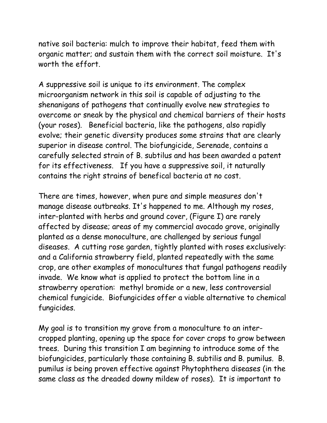native soil bacteria: mulch to improve their habitat, feed them with organic matter; and sustain them with the correct soil moisture. It's worth the effort.

A suppressive soil is unique to its environment. The complex microorganism network in this soil is capable of adjusting to the shenanigans of pathogens that continually evolve new strategies to overcome or sneak by the physical and chemical barriers of their hosts (your roses). Beneficial bacteria, like the pathogens, also rapidly evolve; their genetic diversity produces some strains that are clearly superior in disease control. The biofungicide, Serenade, contains a carefully selected strain of B. subtilus and has been awarded a patent for its effectiveness. If you have a suppressive soil, it naturally contains the right strains of benefical bacteria at no cost.

There are times, however, when pure and simple measures don't manage disease outbreaks. It's happened to me. Although my roses, inter-planted with herbs and ground cover, (Figure I) are rarely affected by disease; areas of my commercial avocado grove, originally planted as a dense monoculture, are challenged by serious fungal diseases. A cutting rose garden, tightly planted with roses exclusively: and a California strawberry field, planted repeatedly with the same crop, are other examples of monocultures that fungal pathogens readily invade. We know what is applied to protect the bottom line in a strawberry operation: methyl bromide or a new, less controversial chemical fungicide. Biofungicides offer a viable alternative to chemical fungicides.

My goal is to transition my grove from a monoculture to an intercropped planting, opening up the space for cover crops to grow between trees. During this transition I am beginning to introduce some of the biofungicides, particularly those containing B. subtilis and B. pumilus. B. pumilus is being proven effective against Phytophthera diseases (in the same class as the dreaded downy mildew of roses). It is important to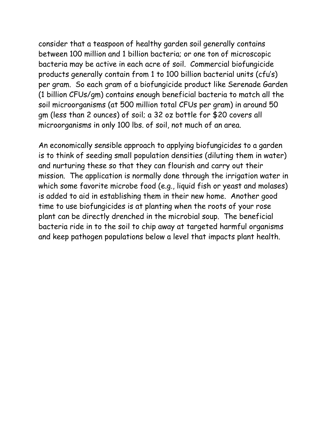consider that a teaspoon of healthy garden soil generally contains between 100 million and 1 billion bacteria; or one ton of microscopic bacteria may be active in each acre of soil. Commercial biofungicide products generally contain from 1 to 100 billion bacterial units (cfu's) per gram. So each gram of a biofungicide product like Serenade Garden (1 billion CFUs/gm) contains enough beneficial bacteria to match all the soil microorganisms (at 500 million total CFUs per gram) in around 50 gm (less than 2 ounces) of soil; a 32 oz bottle for \$20 covers all microorganisms in only 100 lbs. of soil, not much of an area.

An economically sensible approach to applying biofungicides to a garden is to think of seeding small population densities (diluting them in water) and nurturing these so that they can flourish and carry out their mission. The application is normally done through the irrigation water in which some favorite microbe food (e.g., liquid fish or yeast and molases) is added to aid in establishing them in their new home. Another good time to use biofungicides is at planting when the roots of your rose plant can be directly drenched in the microbial soup. The beneficial bacteria ride in to the soil to chip away at targeted harmful organisms and keep pathogen populations below a level that impacts plant health.